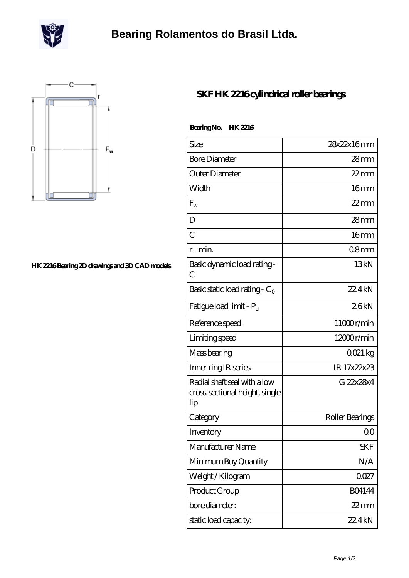

## **[Bearing Rolamentos do Brasil Ltda.](https://scottrobertalexander.com)**



## **[HK 2216 Bearing 2D drawings and 3D CAD models](https://scottrobertalexander.com/pic-539797.html)**

## **[SKF HK 2216 cylindrical roller bearings](https://scottrobertalexander.com/skf-hk-2216-bearing/)**

 **Bearing No. HK 2216**

| Size                                                                  | 28x22x16mm       |
|-----------------------------------------------------------------------|------------------|
| <b>Bore Diameter</b>                                                  | 28mm             |
| Outer Diameter                                                        | $22$ mm          |
| Width                                                                 | 16 <sub>mm</sub> |
| $F_{w}$                                                               | $22$ mm          |
| D                                                                     | $28$ mm          |
| $\overline{C}$                                                        | 16mm             |
| r-min.                                                                | 08mm             |
| Basic dynamic load rating -<br>C                                      | 13kN             |
| Basic static load rating - $C_0$                                      | 22.4kN           |
| Fatigue load limit - P <sub>u</sub>                                   | 26kN             |
| Reference speed                                                       | 11000r/min       |
| Limiting speed                                                        | $12000$ r/min    |
| Mass bearing                                                          | 0021 kg          |
| Inner ring IR series                                                  | IR 17x22x23      |
| Radial shaft seal with a low<br>cross-sectional height, single<br>lip | G 22x28x4        |
| Category                                                              | Roller Bearings  |
| Inventory                                                             | 0 <sup>0</sup>   |
| Manufacturer Name                                                     | SKF              |
| Minimum Buy Quantity                                                  | N/A              |
| Weight / Kilogram                                                     | 0027             |
| Product Group                                                         | <b>BO4144</b>    |
| bore diameter:                                                        | 22 mm            |
| static load capacity.                                                 | 22.4kN           |